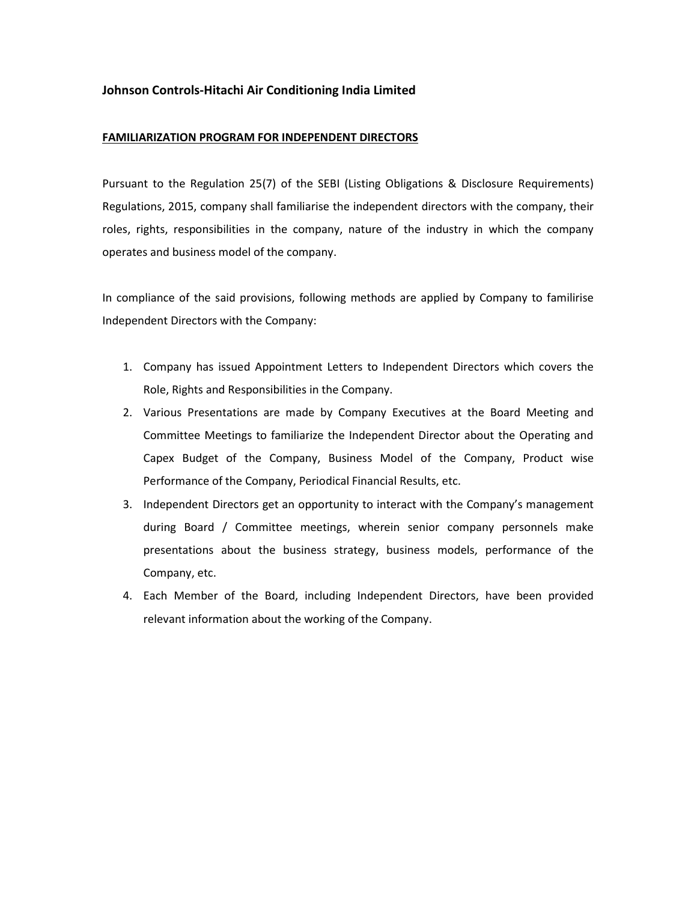## Johnson Controls-Hitachi Air Conditioning India Limited

## FAMILIARIZATION PROGRAM FOR INDEPENDENT DIRECTORS

Pursuant to the Regulation 25(7) of the SEBI (Listing Obligations & Disclosure Requirements) Regulations, 2015, company shall familiarise the independent directors with the company, their roles, rights, responsibilities in the company, nature of the industry in which the company operates and business model of the company.

In compliance of the said provisions, following methods are applied by Company to familirise Independent Directors with the Company:

- 1. Company has issued Appointment Letters to Independent Directors which covers the Role, Rights and Responsibilities in the Company.
- 2. Various Presentations are made by Company Executives at the Board Meeting and Committee Meetings to familiarize the Independent Director about the Operating and Capex Budget of the Company, Business Model of the Company, Product wise Performance of the Company, Periodical Financial Results, etc.
- 3. Independent Directors get an opportunity to interact with the Company's management during Board / Committee meetings, wherein senior company personnels make presentations about the business strategy, business models, performance of the Company, etc.
- 4. Each Member of the Board, including Independent Directors, have been provided relevant information about the working of the Company.